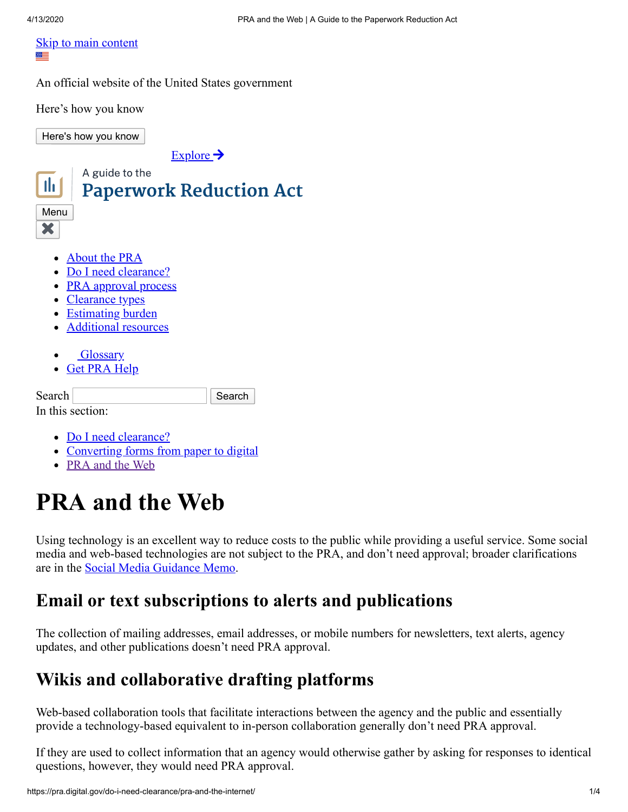#### **[Skip to main content](#page-0-0)** ₩≡

An official website of the United States government

Here's how you know

Here's how you know

 $Explore \rightarrow$  $Explore \rightarrow$ 



<span id="page-0-0"></span>In this section:

- [Do I need clearance?](https://pra.digital.gov/do-i-need-clearance/)
- [Converting forms from paper to digital](https://pra.digital.gov/do-i-need-clearance/form-updates-and-conversions/)
- [PRA and the Web](https://pra.digital.gov/do-i-need-clearance/pra-and-the-internet/)

# **PRA and the Web**

Using technology is an excellent way to reduce costs to the public while providing a useful service. Some social media and web-based technologies are not subject to the PRA, and don't need approval; broader clarifications are in the [Social Media Guidance Memo](https://www.whitehouse.gov/sites/whitehouse.gov/files/omb/assets/inforeg/SocialMediaGuidance_04072010.pdf).

#### **Email or text subscriptions to alerts and publications**

The collection of mailing addresses, email addresses, or mobile numbers for newsletters, text alerts, agency updates, and other publications doesn't need PRA approval.

#### **Wikis and collaborative drafting platforms**

Web-based collaboration tools that facilitate interactions between the agency and the public and essentially provide a technology-based equivalent to in-person collaboration generally don't need PRA approval.

If they are used to collect information that an agency would otherwise gather by asking for responses to identical questions, however, they would need PRA approval.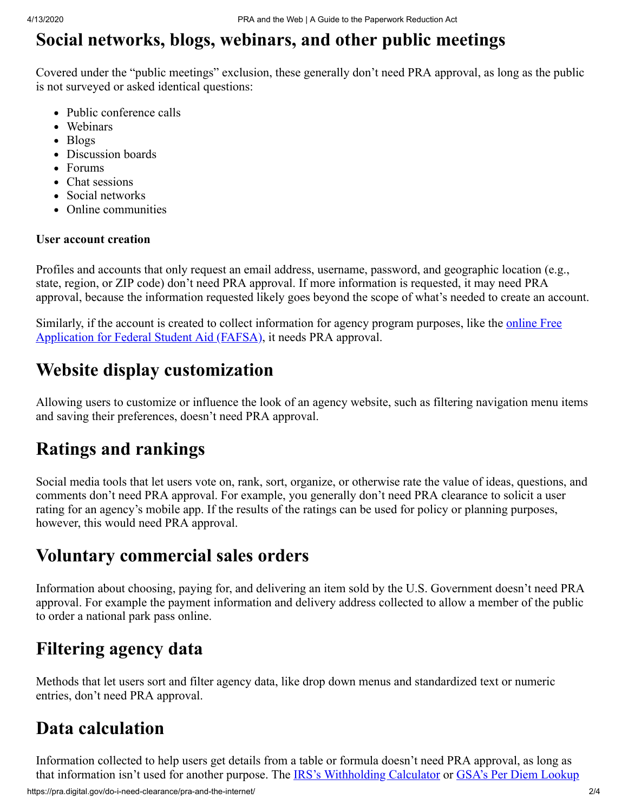## **Social networks, blogs, webinars, and other public meetings**

Covered under the "public meetings" exclusion, these generally don't need PRA approval, as long as the public is not surveyed or asked identical questions:

- Public conference calls
- Webinars
- Blogs
- Discussion boards
- Forums
- Chat sessions
- Social networks
- Online communities

#### **User account creation**

Profiles and accounts that only request an email address, username, password, and geographic location (e.g., state, region, or ZIP code) don't need PRA approval. If more information is requested, it may need PRA approval, because the information requested likely goes beyond the scope of what's needed to create an account.

[Similarly, if the account is created to collect information for agency program purposes, like the online Free](https://studentaid.ed.gov/sa/fafsa) Application for Federal Student Aid (FAFSA), it needs PRA approval.

#### **Website display customization**

Allowing users to customize or influence the look of an agency website, such as filtering navigation menu items and saving their preferences, doesn't need PRA approval.

#### **Ratings and rankings**

Social media tools that let users vote on, rank, sort, organize, or otherwise rate the value of ideas, questions, and comments don't need PRA approval. For example, you generally don't need PRA clearance to solicit a user rating for an agency's mobile app. If the results of the ratings can be used for policy or planning purposes, however, this would need PRA approval.

#### **Voluntary commercial sales orders**

Information about choosing, paying for, and delivering an item sold by the U.S. Government doesn't need PRA approval. For example the payment information and delivery address collected to allow a member of the public to order a national park pass online.

### **Filtering agency data**

Methods that let users sort and filter agency data, like drop down menus and standardized text or numeric entries, don't need PRA approval.

#### **Data calculation**

Information collected to help users get details from a table or formula doesn't need PRA approval, as long as that information isn't used for another purpose. The [IRS's Withholding Calculator](https://www.irs.gov/individuals/irs-withholding-calculator) or [GSA's Per Diem Lookup](https://www.gsa.gov/travel/plan-book/per-diem-rates/per-diem-rates-lookup)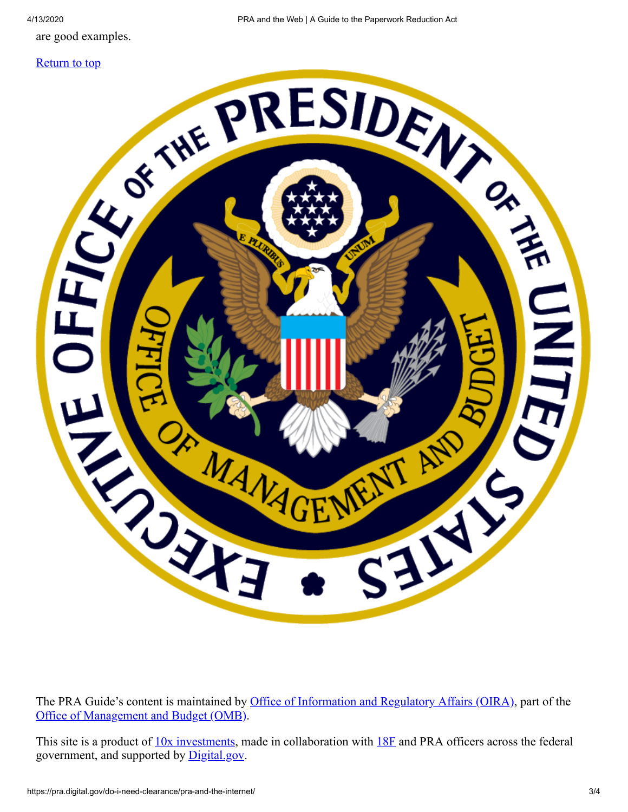are good examples.





The PRA Guide's content is maintained by [Office of Information and Regulatory Affairs \(OIRA\)](https://www.whitehouse.gov/omb/information-regulatory-affairs/), part of the [Office of Management and Budget \(OMB\)](https://www.whitehouse.gov/omb/).

This site is a product of  $10x$  investments, made in collaboration with  $18F$  and PRA officers across the federal government, and supported by **[Digital.gov](https://digital.gov/)**.